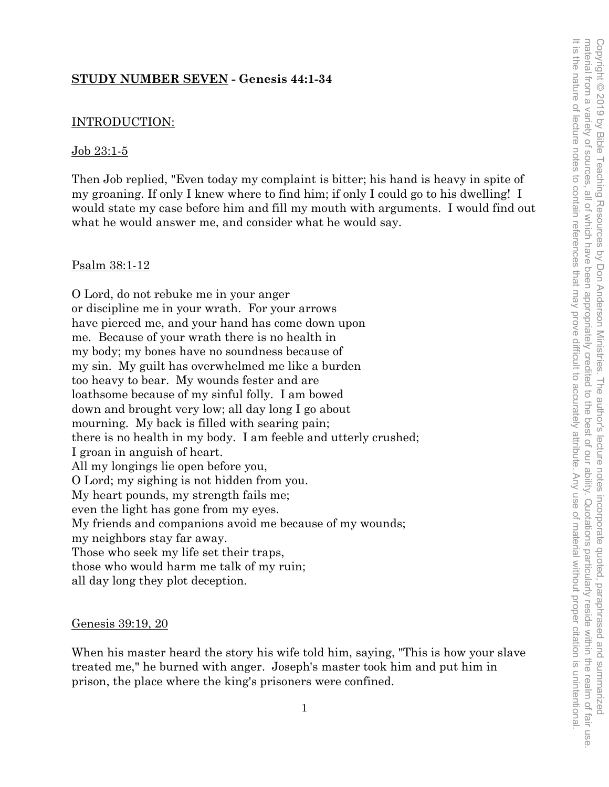## **STUDY NUMBER SEVEN - Genesis 44:1-34**

## INTRODUCTION:

#### Job 23:1-5

Then Job replied, "Even today my complaint is bitter; his hand is heavy in spite of my groaning. If only I knew where to find him; if only I could go to his dwelling! I would state my case before him and fill my mouth with arguments. I would find out what he would answer me, and consider what he would say.

#### Psalm 38:1-12

O Lord, do not rebuke me in your anger or discipline me in your wrath. For your arrows have pierced me, and your hand has come down upon me. Because of your wrath there is no health in my body; my bones have no soundness because of my sin. My guilt has overwhelmed me like a burden too heavy to bear. My wounds fester and are loathsome because of my sinful folly. I am bowed down and brought very low; all day long I go about mourning. My back is filled with searing pain; there is no health in my body. I am feeble and utterly crushed; I groan in anguish of heart. All my longings lie open before you, O Lord; my sighing is not hidden from you. My heart pounds, my strength fails me; even the light has gone from my eyes. My friends and companions avoid me because of my wounds; my neighbors stay far away. Those who seek my life set their traps, those who would harm me talk of my ruin; all day long they plot deception.

#### Genesis 39:19, 20

When his master heard the story his wife told him, saying, "This is how your slave treated me," he burned with anger. Joseph's master took him and put him in prison, the place where the king's prisoners were confined.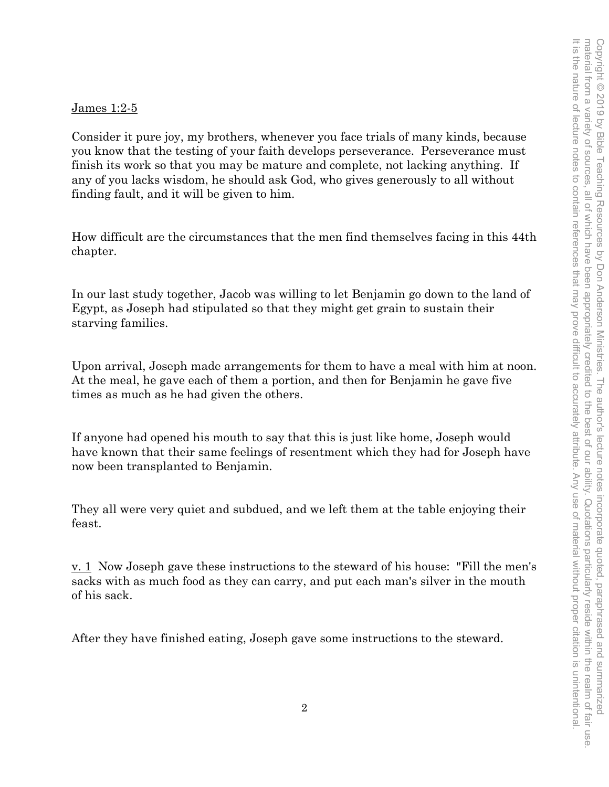#### James 1:2-5

Consider it pure joy, my brothers, whenever you face trials of many kinds, because you know that the testing of your faith develops perseverance. Perseverance must finish its work so that you may be mature and complete, not lacking anything. If any of you lacks wisdom, he should ask God, who gives generously to all without finding fault, and it will be given to him.

How difficult are the circumstances that the men find themselves facing in this 44th chapter.

In our last study together, Jacob was willing to let Benjamin go down to the land of Egypt, as Joseph had stipulated so that they might get grain to sustain their starving families.

Upon arrival, Joseph made arrangements for them to have a meal with him at noon. At the meal, he gave each of them a portion, and then for Benjamin he gave five times as much as he had given the others.

If anyone had opened his mouth to say that this is just like home, Joseph would have known that their same feelings of resentment which they had for Joseph have now been transplanted to Benjamin.

They all were very quiet and subdued, and we left them at the table enjoying their feast.

v. 1 Now Joseph gave these instructions to the steward of his house: "Fill the men's sacks with as much food as they can carry, and put each man's silver in the mouth of his sack.

After they have finished eating, Joseph gave some instructions to the steward.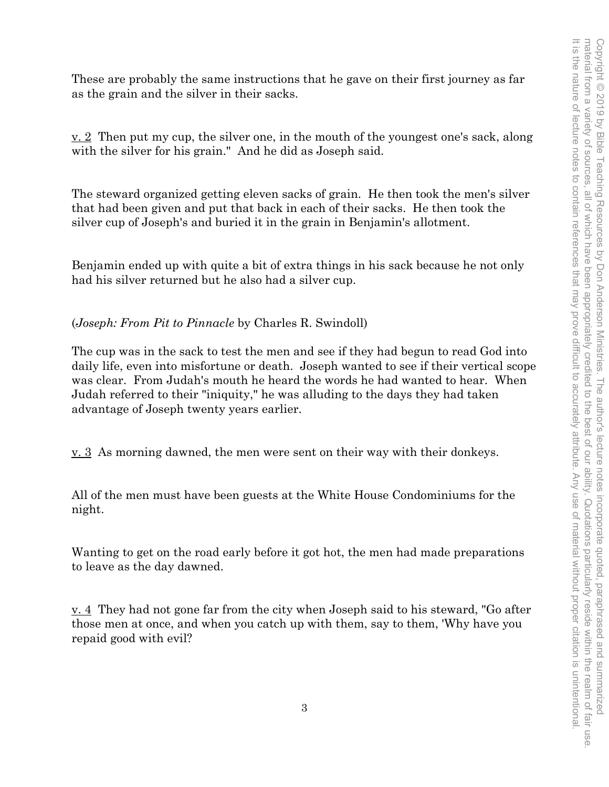These are probably the same instructions that he gave on their first journey as far as the grain and the silver in their sacks.

v. 2 Then put my cup, the silver one, in the mouth of the youngest one's sack, along with the silver for his grain." And he did as Joseph said.

The steward organized getting eleven sacks of grain. He then took the men's silver that had been given and put that back in each of their sacks. He then took the silver cup of Joseph's and buried it in the grain in Benjamin's allotment.

Benjamin ended up with quite a bit of extra things in his sack because he not only had his silver returned but he also had a silver cup.

(*Joseph: From Pit to Pinnacle* by Charles R. Swindoll)

The cup was in the sack to test the men and see if they had begun to read God into daily life, even into misfortune or death. Joseph wanted to see if their vertical scope was clear. From Judah's mouth he heard the words he had wanted to hear. When Judah referred to their "iniquity," he was alluding to the days they had taken advantage of Joseph twenty years earlier.

<u>v. 3</u> As morning dawned, the men were sent on their way with their donkeys.

All of the men must have been guests at the White House Condominiums for the night.

Wanting to get on the road early before it got hot, the men had made preparations to leave as the day dawned.

v. 4 They had not gone far from the city when Joseph said to his steward, "Go after those men at once, and when you catch up with them, say to them, 'Why have you repaid good with evil?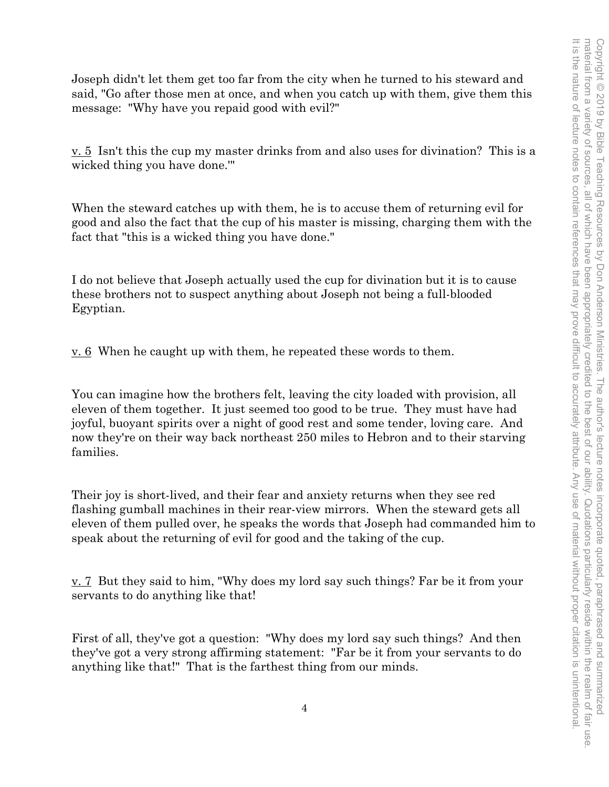Joseph didn't let them get too far from the city when he turned to his steward and said, "Go after those men at once, and when you catch up with them, give them this message: "Why have you repaid good with evil?"

v. 5 Isn't this the cup my master drinks from and also uses for divination? This is a wicked thing you have done.'"

When the steward catches up with them, he is to accuse them of returning evil for good and also the fact that the cup of his master is missing, charging them with the fact that "this is a wicked thing you have done."

I do not believe that Joseph actually used the cup for divination but it is to cause these brothers not to suspect anything about Joseph not being a full-blooded Egyptian.

 $\underline{v}$ . 6 When he caught up with them, he repeated these words to them.

You can imagine how the brothers felt, leaving the city loaded with provision, all eleven of them together. It just seemed too good to be true. They must have had joyful, buoyant spirits over a night of good rest and some tender, loving care. And now they're on their way back northeast 250 miles to Hebron and to their starving families.

Their joy is short-lived, and their fear and anxiety returns when they see red flashing gumball machines in their rear-view mirrors. When the steward gets all eleven of them pulled over, he speaks the words that Joseph had commanded him to speak about the returning of evil for good and the taking of the cup.

v. 7 But they said to him, "Why does my lord say such things? Far be it from your servants to do anything like that!

First of all, they've got a question: "Why does my lord say such things? And then they've got a very strong affirming statement: "Far be it from your servants to do anything like that!" That is the farthest thing from our minds.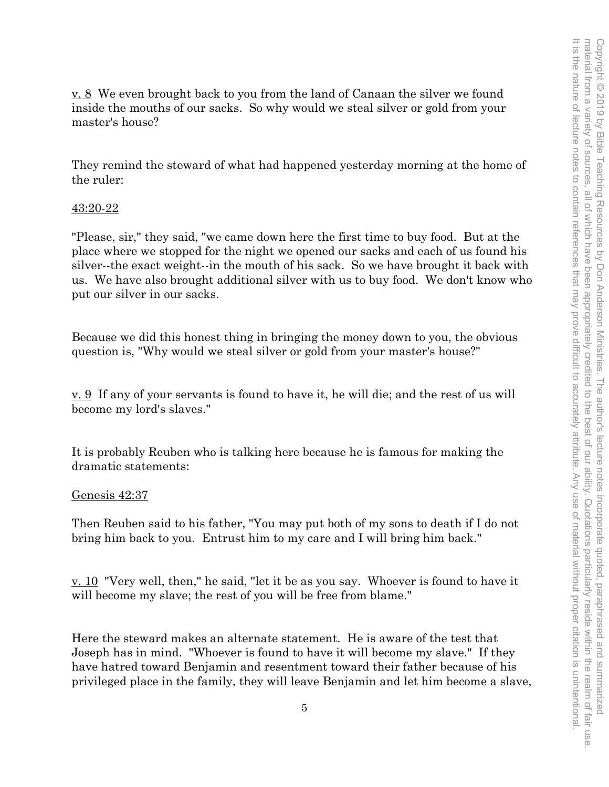v. 8 We even brought back to you from the land of Canaan the silver we found inside the mouths of our sacks. So why would we steal silver or gold from your master's house?

They remind the steward of what had happened yesterday morning at the home of the ruler:

## 43:20-22

"Please, sir," they said, "we came down here the first time to buy food. But at the place where we stopped for the night we opened our sacks and each of us found his silver--the exact weight--in the mouth of his sack. So we have brought it back with us. We have also brought additional silver with us to buy food. We don't know who put our silver in our sacks.

Because we did this honest thing in bringing the money down to you, the obvious question is, "Why would we steal silver or gold from your master's house?"

v. 9 If any of your servants is found to have it, he will die; and the rest of us will become my lord's slaves."

It is probably Reuben who is talking here because he is famous for making the dramatic statements:

## Genesis 42:37

Then Reuben said to his father, "You may put both of my sons to death if I do not bring him back to you. Entrust him to my care and I will bring him back."

v. 10 "Very well, then," he said, "let it be as you say. Whoever is found to have it will become my slave; the rest of you will be free from blame."

Here the steward makes an alternate statement. He is aware of the test that Joseph has in mind. "Whoever is found to have it will become my slave." If they have hatred toward Benjamin and resentment toward their father because of his privileged place in the family, they will leave Benjamin and let him become a slave,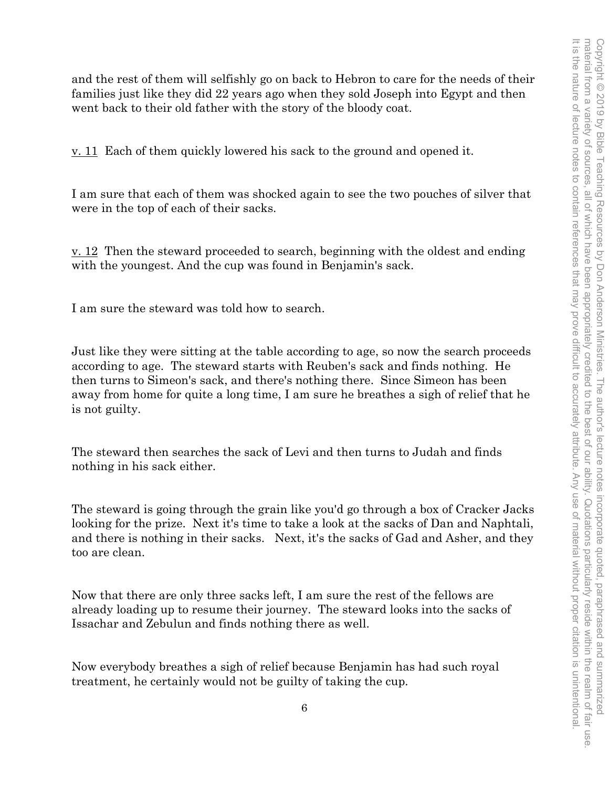and the rest of them will selfishly go on back to Hebron to care for the needs of their families just like they did 22 years ago when they sold Joseph into Egypt and then went back to their old father with the story of the bloody coat.

v. 11 Each of them quickly lowered his sack to the ground and opened it.

I am sure that each of them was shocked again to see the two pouches of silver that were in the top of each of their sacks.

v. 12 Then the steward proceeded to search, beginning with the oldest and ending with the youngest. And the cup was found in Benjamin's sack.

I am sure the steward was told how to search.

Just like they were sitting at the table according to age, so now the search proceeds according to age. The steward starts with Reuben's sack and finds nothing. He then turns to Simeon's sack, and there's nothing there. Since Simeon has been away from home for quite a long time, I am sure he breathes a sigh of relief that he is not guilty.

The steward then searches the sack of Levi and then turns to Judah and finds nothing in his sack either.

The steward is going through the grain like you'd go through a box of Cracker Jacks looking for the prize. Next it's time to take a look at the sacks of Dan and Naphtali, and there is nothing in their sacks. Next, it's the sacks of Gad and Asher, and they too are clean.

Now that there are only three sacks left, I am sure the rest of the fellows are already loading up to resume their journey. The steward looks into the sacks of Issachar and Zebulun and finds nothing there as well.

Now everybody breathes a sigh of relief because Benjamin has had such royal treatment, he certainly would not be guilty of taking the cup.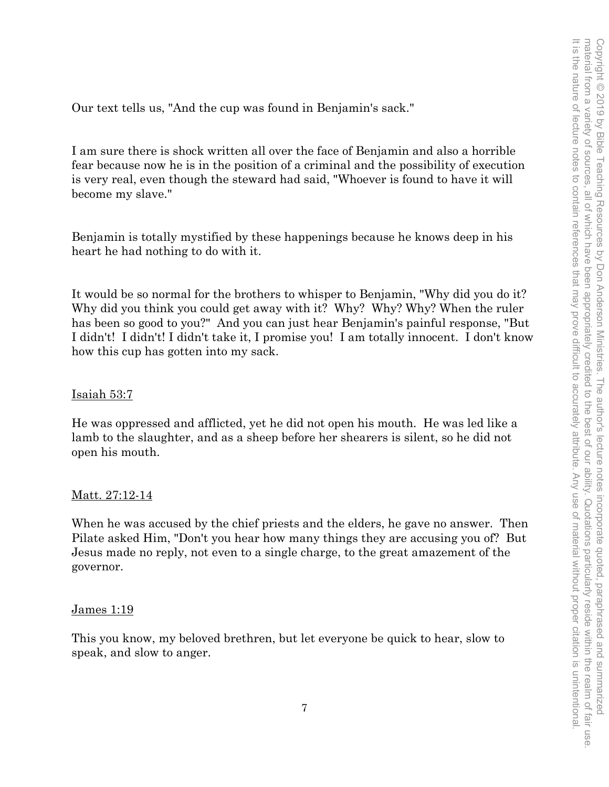Our text tells us, "And the cup was found in Benjamin's sack."

I am sure there is shock written all over the face of Benjamin and also a horrible fear because now he is in the position of a criminal and the possibility of execution is very real, even though the steward had said, "Whoever is found to have it will become my slave."

Benjamin is totally mystified by these happenings because he knows deep in his heart he had nothing to do with it.

It would be so normal for the brothers to whisper to Benjamin, "Why did you do it? Why did you think you could get away with it? Why? Why? Why? When the ruler has been so good to you?" And you can just hear Benjamin's painful response, "But I didn't! I didn't! I didn't take it, I promise you! I am totally innocent. I don't know how this cup has gotten into my sack.

## Isaiah 53:7

He was oppressed and afflicted, yet he did not open his mouth. He was led like a lamb to the slaughter, and as a sheep before her shearers is silent, so he did not open his mouth.

## <u>Matt. 27:12-14</u>

When he was accused by the chief priests and the elders, he gave no answer. Then Pilate asked Him, "Don't you hear how many things they are accusing you of? But Jesus made no reply, not even to a single charge, to the great amazement of the governor.

## James 1:19

This you know, my beloved brethren, but let everyone be quick to hear, slow to speak, and slow to anger.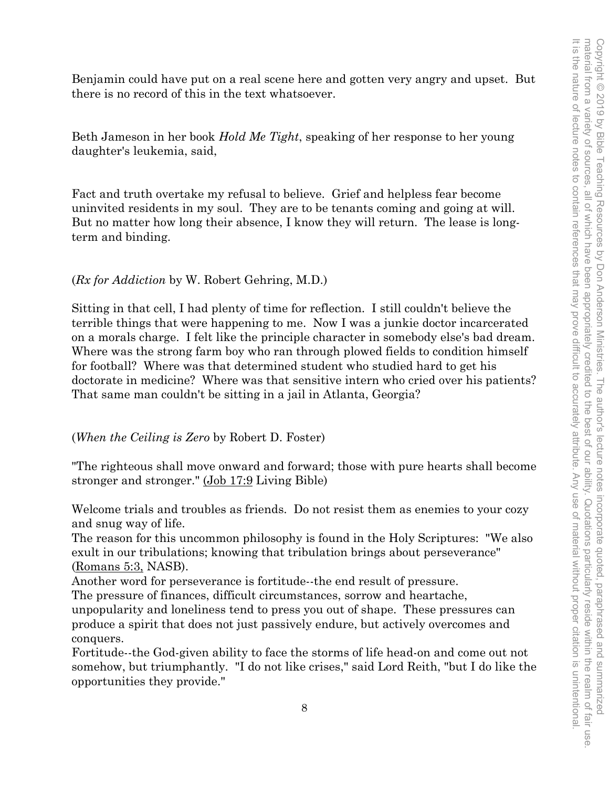Benjamin could have put on a real scene here and gotten very angry and upset. But there is no record of this in the text whatsoever.

Beth Jameson in her book *Hold Me Tight*, speaking of her response to her young daughter's leukemia, said,

Fact and truth overtake my refusal to believe. Grief and helpless fear become uninvited residents in my soul. They are to be tenants coming and going at will. But no matter how long their absence, I know they will return. The lease is longterm and binding.

# (*Rx for Addiction* by W. Robert Gehring, M.D.)

Sitting in that cell, I had plenty of time for reflection. I still couldn't believe the terrible things that were happening to me. Now I was a junkie doctor incarcerated on a morals charge. I felt like the principle character in somebody else's bad dream. Where was the strong farm boy who ran through plowed fields to condition himself for football? Where was that determined student who studied hard to get his doctorate in medicine? Where was that sensitive intern who cried over his patients? That same man couldn't be sitting in a jail in Atlanta, Georgia?

## (*When the Ceiling is Zero* by Robert D. Foster)

"The righteous shall move onward and forward; those with pure hearts shall become stronger and stronger." (Job 17:9 Living Bible)

Welcome trials and troubles as friends. Do not resist them as enemies to your cozy and snug way of life.

The reason for this uncommon philosophy is found in the Holy Scriptures: "We also exult in our tribulations; knowing that tribulation brings about perseverance" (Romans 5:3, NASB).

Another word for perseverance is fortitude--the end result of pressure.

The pressure of finances, difficult circumstances, sorrow and heartache,

unpopularity and loneliness tend to press you out of shape. These pressures can produce a spirit that does not just passively endure, but actively overcomes and conquers.

Fortitude--the God-given ability to face the storms of life head-on and come out not somehow, but triumphantly. "I do not like crises," said Lord Reith, "but I do like the opportunities they provide."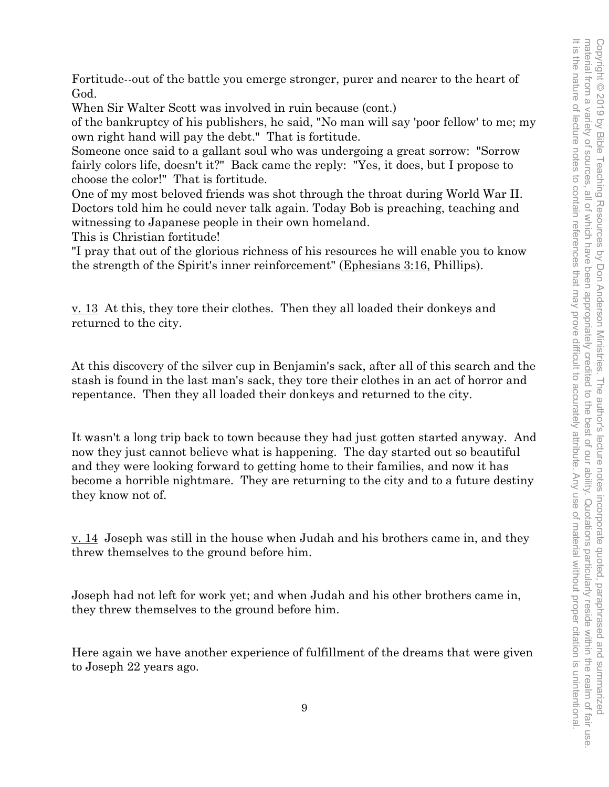Fortitude--out of the battle you emerge stronger, purer and nearer to the heart of God.

When Sir Walter Scott was involved in ruin because (cont.)

of the bankruptcy of his publishers, he said, "No man will say 'poor fellow' to me; my own right hand will pay the debt." That is fortitude.

Someone once said to a gallant soul who was undergoing a great sorrow: "Sorrow fairly colors life, doesn't it?" Back came the reply: "Yes, it does, but I propose to choose the color!" That is fortitude.

One of my most beloved friends was shot through the throat during World War II. Doctors told him he could never talk again. Today Bob is preaching, teaching and witnessing to Japanese people in their own homeland.

This is Christian fortitude!

"I pray that out of the glorious richness of his resources he will enable you to know the strength of the Spirit's inner reinforcement" (Ephesians 3:16, Phillips).

 $\underline{v}$ . 13 At this, they tore their clothes. Then they all loaded their donkeys and returned to the city.

At this discovery of the silver cup in Benjamin's sack, after all of this search and the stash is found in the last man's sack, they tore their clothes in an act of horror and repentance. Then they all loaded their donkeys and returned to the city.

It wasn't a long trip back to town because they had just gotten started anyway. And now they just cannot believe what is happening. The day started out so beautiful and they were looking forward to getting home to their families, and now it has become a horrible nightmare. They are returning to the city and to a future destiny they know not of.

v. 14 Joseph was still in the house when Judah and his brothers came in, and they threw themselves to the ground before him.

Joseph had not left for work yet; and when Judah and his other brothers came in, they threw themselves to the ground before him.

Here again we have another experience of fulfillment of the dreams that were given to Joseph 22 years ago.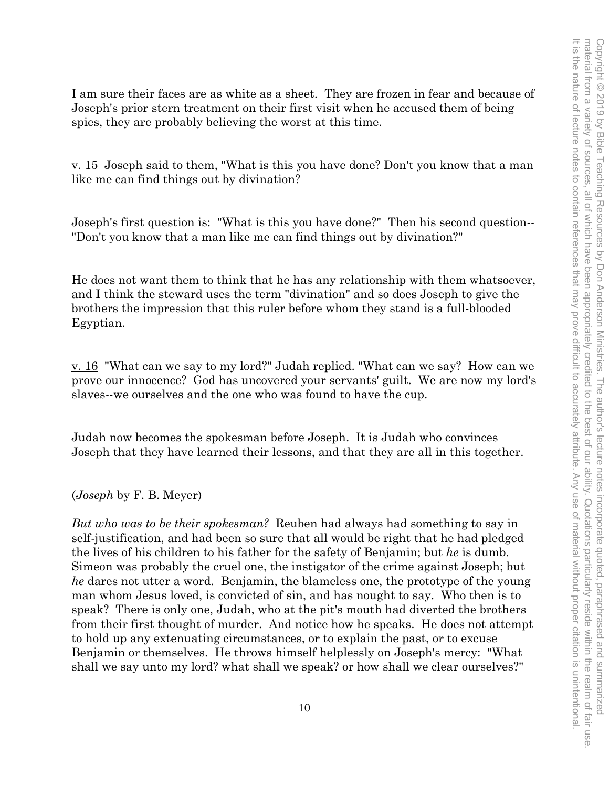I am sure their faces are as white as a sheet. They are frozen in fear and because of Joseph's prior stern treatment on their first visit when he accused them of being spies, they are probably believing the worst at this time.

v. 15 Joseph said to them, "What is this you have done? Don't you know that a man like me can find things out by divination?

Joseph's first question is: "What is this you have done?" Then his second question-- "Don't you know that a man like me can find things out by divination?"

He does not want them to think that he has any relationship with them whatsoever, and I think the steward uses the term "divination" and so does Joseph to give the brothers the impression that this ruler before whom they stand is a full-blooded Egyptian.

v. 16 "What can we say to my lord?" Judah replied. "What can we say? How can we prove our innocence? God has uncovered your servants' guilt. We are now my lord's slaves--we ourselves and the one who was found to have the cup.

Judah now becomes the spokesman before Joseph. It is Judah who convinces Joseph that they have learned their lessons, and that they are all in this together.

(*Joseph* by F. B. Meyer)

*But who was to be their spokesman?* Reuben had always had something to say in self-justification, and had been so sure that all would be right that he had pledged the lives of his children to his father for the safety of Benjamin; but *he* is dumb. Simeon was probably the cruel one, the instigator of the crime against Joseph; but *he* dares not utter a word. Benjamin, the blameless one, the prototype of the young man whom Jesus loved, is convicted of sin, and has nought to say. Who then is to speak? There is only one, Judah, who at the pit's mouth had diverted the brothers from their first thought of murder. And notice how he speaks. He does not attempt to hold up any extenuating circumstances, or to explain the past, or to excuse Benjamin or themselves. He throws himself helplessly on Joseph's mercy: "What shall we say unto my lord? what shall we speak? or how shall we clear ourselves?"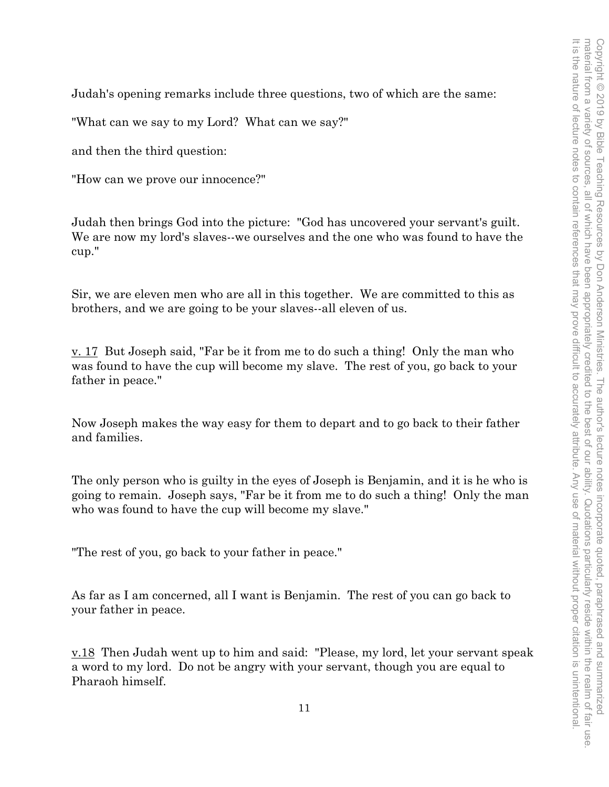Judah's opening remarks include three questions, two of which are the same:

"What can we say to my Lord? What can we say?"

and then the third question:

"How can we prove our innocence?"

Judah then brings God into the picture: "God has uncovered your servant's guilt. We are now my lord's slaves--we ourselves and the one who was found to have the cup."

Sir, we are eleven men who are all in this together. We are committed to this as brothers, and we are going to be your slaves--all eleven of us.

v. 17 But Joseph said, "Far be it from me to do such a thing! Only the man who was found to have the cup will become my slave. The rest of you, go back to your father in peace."

Now Joseph makes the way easy for them to depart and to go back to their father and families.

The only person who is guilty in the eyes of Joseph is Benjamin, and it is he who is going to remain. Joseph says, "Far be it from me to do such a thing! Only the man who was found to have the cup will become my slave."

"The rest of you, go back to your father in peace."

As far as I am concerned, all I want is Benjamin. The rest of you can go back to your father in peace.

v.18 Then Judah went up to him and said: "Please, my lord, let your servant speak a word to my lord. Do not be angry with your servant, though you are equal to Pharaoh himself.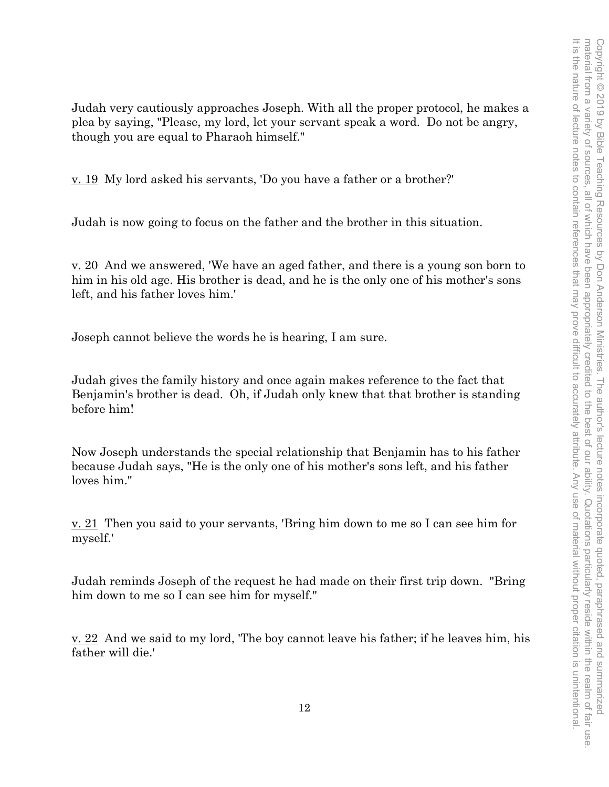Judah very cautiously approaches Joseph. With all the proper protocol, he makes a plea by saying, "Please, my lord, let your servant speak a word. Do not be angry, though you are equal to Pharaoh himself."

v. 19 My lord asked his servants, 'Do you have a father or a brother?'

Judah is now going to focus on the father and the brother in this situation.

v. 20 And we answered, 'We have an aged father, and there is a young son born to him in his old age. His brother is dead, and he is the only one of his mother's sons left, and his father loves him.'

Joseph cannot believe the words he is hearing, I am sure.

Judah gives the family history and once again makes reference to the fact that Benjamin's brother is dead. Oh, if Judah only knew that that brother is standing before him!

Now Joseph understands the special relationship that Benjamin has to his father because Judah says, "He is the only one of his mother's sons left, and his father loves him."

<u>v. 21</u> Then you said to your servants, 'Bring him down to me so I can see him for myself.'

Judah reminds Joseph of the request he had made on their first trip down. "Bring him down to me so I can see him for myself."

<u>v. 22</u> And we said to my lord, 'The boy cannot leave his father; if he leaves him, his father will die.'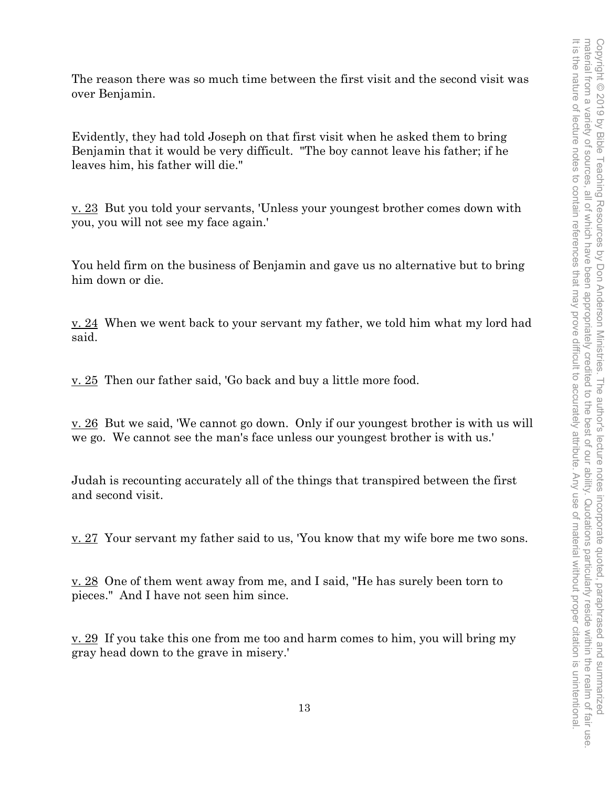The reason there was so much time between the first visit and the second visit was over Benjamin.

Evidently, they had told Joseph on that first visit when he asked them to bring Benjamin that it would be very difficult. "The boy cannot leave his father; if he leaves him, his father will die."

v. 23 But you told your servants, 'Unless your youngest brother comes down with you, you will not see my face again.'

You held firm on the business of Benjamin and gave us no alternative but to bring him down or die.

v. 24 When we went back to your servant my father, we told him what my lord had said.

<u>v. 25</u> Then our father said, 'Go back and buy a little more food.

v. 26 But we said, 'We cannot go down. Only if our youngest brother is with us will we go. We cannot see the man's face unless our youngest brother is with us.'

Judah is recounting accurately all of the things that transpired between the first and second visit.

v. 27 Your servant my father said to us, 'You know that my wife bore me two sons.

 $\underline{v. 28}$  One of them went away from me, and I said, "He has surely been torn to pieces." And I have not seen him since.

 $\underline{v}$ . 29 If you take this one from me too and harm comes to him, you will bring my gray head down to the grave in misery.'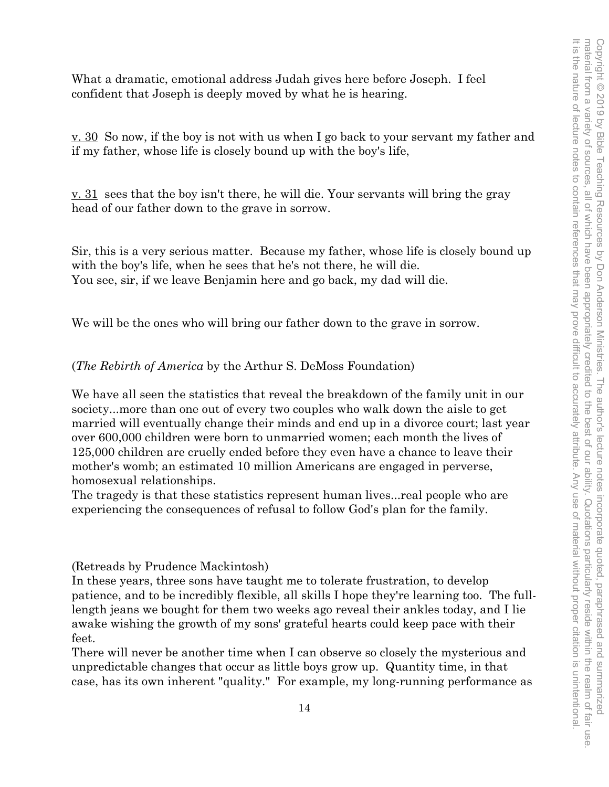What a dramatic, emotional address Judah gives here before Joseph. I feel confident that Joseph is deeply moved by what he is hearing.

v. 30 So now, if the boy is not with us when I go back to your servant my father and if my father, whose life is closely bound up with the boy's life,

 $\underline{v}$ . 31 sees that the boy isn't there, he will die. Your servants will bring the gray head of our father down to the grave in sorrow.

Sir, this is a very serious matter. Because my father, whose life is closely bound up with the boy's life, when he sees that he's not there, he will die. You see, sir, if we leave Benjamin here and go back, my dad will die.

We will be the ones who will bring our father down to the grave in sorrow.

(*The Rebirth of America* by the Arthur S. DeMoss Foundation)

We have all seen the statistics that reveal the breakdown of the family unit in our society...more than one out of every two couples who walk down the aisle to get married will eventually change their minds and end up in a divorce court; last year over 600,000 children were born to unmarried women; each month the lives of 125,000 children are cruelly ended before they even have a chance to leave their mother's womb; an estimated 10 million Americans are engaged in perverse, homosexual relationships.

The tragedy is that these statistics represent human lives...real people who are experiencing the consequences of refusal to follow God's plan for the family.

(Retreads by Prudence Mackintosh)

In these years, three sons have taught me to tolerate frustration, to develop patience, and to be incredibly flexible, all skills I hope they're learning too. The fulllength jeans we bought for them two weeks ago reveal their ankles today, and I lie awake wishing the growth of my sons' grateful hearts could keep pace with their feet.

There will never be another time when I can observe so closely the mysterious and unpredictable changes that occur as little boys grow up. Quantity time, in that case, has its own inherent "quality." For example, my long-running performance as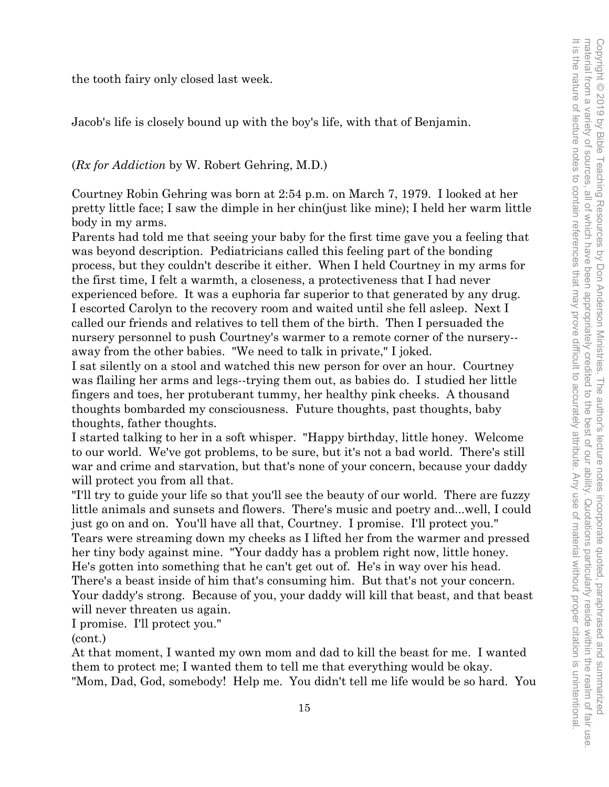the tooth fairy only closed last week.

Jacob's life is closely bound up with the boy's life, with that of Benjamin.

#### (*Rx for Addiction* by W. Robert Gehring, M.D.)

Courtney Robin Gehring was born at 2:54 p.m. on March 7, 1979. I looked at her pretty little face; I saw the dimple in her chin(just like mine); I held her warm little body in my arms.

Parents had told me that seeing your baby for the first time gave you a feeling that was beyond description. Pediatricians called this feeling part of the bonding process, but they couldn't describe it either. When I held Courtney in my arms for the first time, I felt a warmth, a closeness, a protectiveness that I had never experienced before. It was a euphoria far superior to that generated by any drug. I escorted Carolyn to the recovery room and waited until she fell asleep. Next I called our friends and relatives to tell them of the birth. Then I persuaded the nursery personnel to push Courtney's warmer to a remote corner of the nursery- away from the other babies. "We need to talk in private," I joked.

I sat silently on a stool and watched this new person for over an hour. Courtney was flailing her arms and legs--trying them out, as babies do. I studied her little fingers and toes, her protuberant tummy, her healthy pink cheeks. A thousand thoughts bombarded my consciousness. Future thoughts, past thoughts, baby thoughts, father thoughts.

I started talking to her in a soft whisper. "Happy birthday, little honey. Welcome to our world. We've got problems, to be sure, but it's not a bad world. There's still war and crime and starvation, but that's none of your concern, because your daddy will protect you from all that.

"I'll try to guide your life so that you'll see the beauty of our world. There are fuzzy little animals and sunsets and flowers. There's music and poetry and...well, I could just go on and on. You'll have all that, Courtney. I promise. I'll protect you." Tears were streaming down my cheeks as I lifted her from the warmer and pressed her tiny body against mine. "Your daddy has a problem right now, little honey. He's gotten into something that he can't get out of. He's in way over his head. There's a beast inside of him that's consuming him. But that's not your concern. Your daddy's strong. Because of you, your daddy will kill that beast, and that beast will never threaten us again.

I promise. I'll protect you."

(cont.)

At that moment, I wanted my own mom and dad to kill the beast for me. I wanted them to protect me; I wanted them to tell me that everything would be okay. "Mom, Dad, God, somebody! Help me. You didn't tell me life would be so hard. You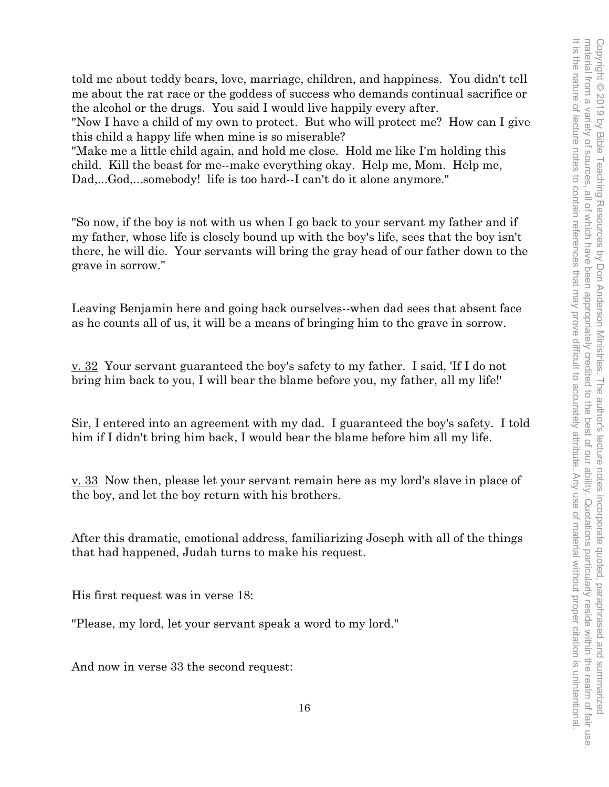told me about teddy bears, love, marriage, children, and happiness. You didn't tell me about the rat race or the goddess of success who demands continual sacrifice or the alcohol or the drugs. You said I would live happily every after.

"Now I have a child of my own to protect. But who will protect me? How can I give this child a happy life when mine is so miserable?

"Make me a little child again, and hold me close. Hold me like I'm holding this child. Kill the beast for me--make everything okay. Help me, Mom. Help me, Dad,...God,...somebody! life is too hard--I can't do it alone anymore."

"So now, if the boy is not with us when I go back to your servant my father and if my father, whose life is closely bound up with the boy's life, sees that the boy isn't there, he will die. Your servants will bring the gray head of our father down to the grave in sorrow."

Leaving Benjamin here and going back ourselves--when dad sees that absent face as he counts all of us, it will be a means of bringing him to the grave in sorrow.

v. 32 Your servant guaranteed the boy's safety to my father. I said, 'If I do not bring him back to you, I will bear the blame before you, my father, all my life!'

Sir, I entered into an agreement with my dad. I guaranteed the boy's safety. I told him if I didn't bring him back, I would bear the blame before him all my life.

v. 33 Now then, please let your servant remain here as my lord's slave in place of the boy, and let the boy return with his brothers.

After this dramatic, emotional address, familiarizing Joseph with all of the things that had happened, Judah turns to make his request.

His first request was in verse 18:

"Please, my lord, let your servant speak a word to my lord."

And now in verse 33 the second request: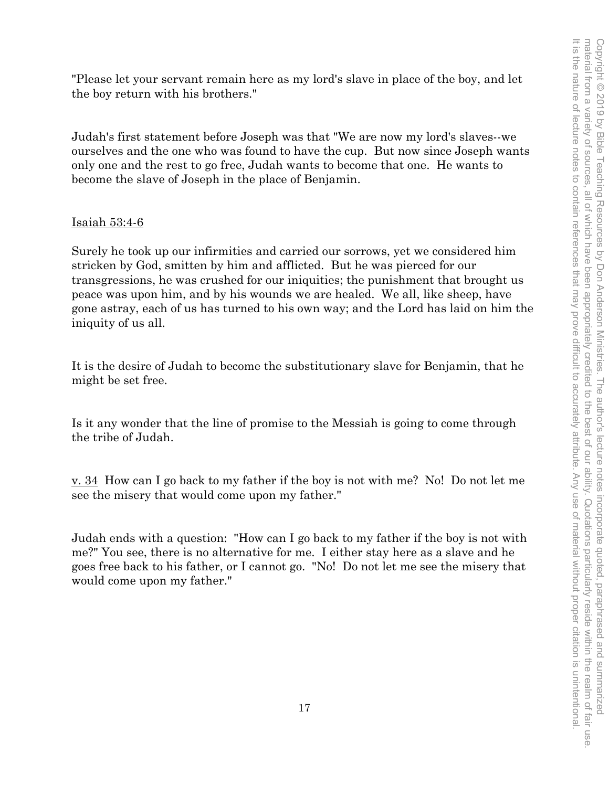"Please let your servant remain here as my lord's slave in place of the boy, and let the boy return with his brothers."

Judah's first statement before Joseph was that "We are now my lord's slaves--we ourselves and the one who was found to have the cup. But now since Joseph wants only one and the rest to go free, Judah wants to become that one. He wants to become the slave of Joseph in the place of Benjamin.

# Isaiah 53:4-6

Surely he took up our infirmities and carried our sorrows, yet we considered him stricken by God, smitten by him and afflicted. But he was pierced for our transgressions, he was crushed for our iniquities; the punishment that brought us peace was upon him, and by his wounds we are healed. We all, like sheep, have gone astray, each of us has turned to his own way; and the Lord has laid on him the iniquity of us all.

It is the desire of Judah to become the substitutionary slave for Benjamin, that he might be set free.

Is it any wonder that the line of promise to the Messiah is going to come through the tribe of Judah.

v. 34 How can I go back to my father if the boy is not with me? No! Do not let me see the misery that would come upon my father."

Judah ends with a question: "How can I go back to my father if the boy is not with me?" You see, there is no alternative for me. I either stay here as a slave and he goes free back to his father, or I cannot go. "No! Do not let me see the misery that would come upon my father."